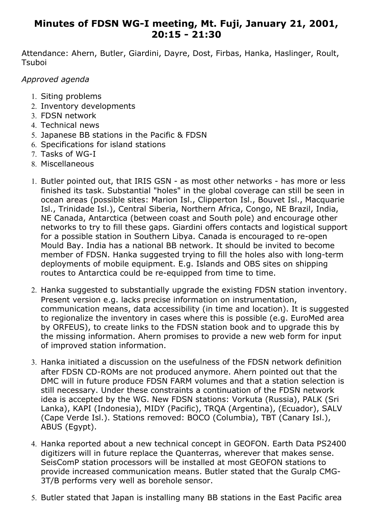## **Minutes of FDSN WG-I meeting, Mt. Fuji, January 21, 2001, 20:15 - 21:30**

Attendance: Ahern, Butler, Giardini, Dayre, Dost, Firbas, Hanka, Haslinger, Roult, **Tsuboi** 

*Approved agenda*

- 1. Siting problems
- 2. Inventory developments
- 3. FDSN network
- 4. Technical news
- 5. Japanese BB stations in the Pacific & FDSN
- 6. Specifications for island stations
- 7. Tasks of WG-I
- 8. Miscellaneous
- 1. Butler pointed out, that IRIS GSN as most other networks has more or less finished its task. Substantial "holes" in the global coverage can still be seen in ocean areas (possible sites: Marion Isl., Clipperton Isl., Bouvet Isl., Macquarie Isl., Trinidade Isl.), Central Siberia, Northern Africa, Congo, NE Brazil, India, NE Canada, Antarctica (between coast and South pole) and encourage other networks to try to fill these gaps. Giardini offers contacts and logistical support for a possible station in Southern Libya. Canada is encouraged to re-open Mould Bay. India has a national BB network. It should be invited to become member of FDSN. Hanka suggested trying to fill the holes also with long-term deployments of mobile equipment. E.g. Islands and OBS sites on shipping routes to Antarctica could be re-equipped from time to time.
- 2. Hanka suggested to substantially upgrade the existing FDSN station inventory. Present version e.g. lacks precise information on instrumentation, communication means, data accessibility (in time and location). It is suggested to regionalize the inventory in cases where this is possible (e.g. EuroMed area by ORFEUS), to create links to the FDSN station book and to upgrade this by the missing information. Ahern promises to provide a new web form for input of improved station information.
- 3. Hanka initiated a discussion on the usefulness of the FDSN network definition after FDSN CD-ROMs are not produced anymore. Ahern pointed out that the DMC will in future produce FDSN FARM volumes and that a station selection is still necessary. Under these constraints a continuation of the FDSN network idea is accepted by the WG. New FDSN stations: Vorkuta (Russia), PALK (Sri Lanka), KAPI (Indonesia), MIDY (Pacific), TRQA (Argentina), (Ecuador), SALV (Cape Verde Isl.). Stations removed: BOCO (Columbia), TBT (Canary Isl.), ABUS (Egypt).
- 4. Hanka reported about a new technical concept in GEOFON. Earth Data PS2400 digitizers will in future replace the Quanterras, wherever that makes sense. SeisComP station processors will be installed at most GEOFON stations to provide increased communication means. Butler stated that the Guralp CMG-3T/B performs very well as borehole sensor.
- 5. Butler stated that Japan is installing many BB stations in the East Pacific area